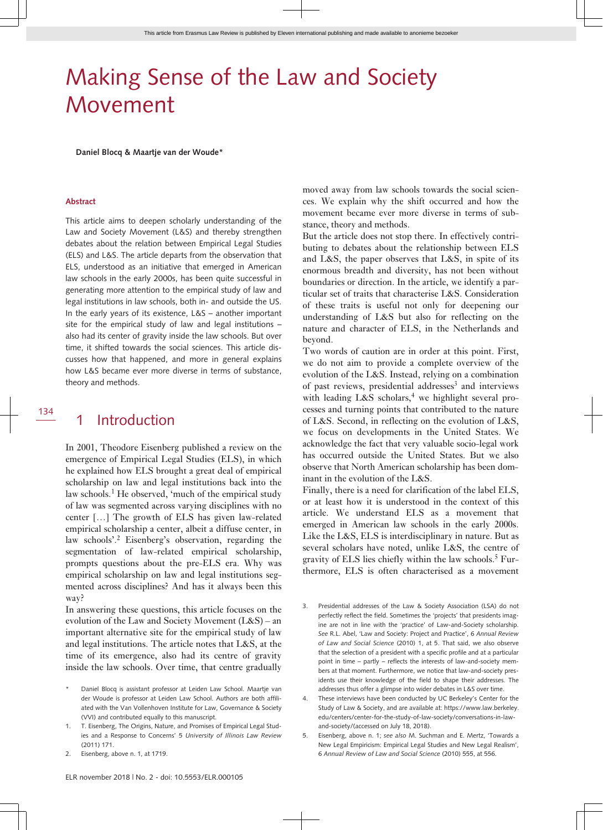# Making Sense of the Law and Society Movement

**Daniel Blocq & Maartje van der Woude\***

#### **Abstract**

This article aims to deepen scholarly understanding of the Law and Society Movement (L&S) and thereby strengthen debates about the relation between Empirical Legal Studies (ELS) and L&S. The article departs from the observation that ELS, understood as an initiative that emerged in American law schools in the early 2000s, has been quite successful in generating more attention to the empirical study of law and legal institutions in law schools, both in- and outside the US. In the early years of its existence, L&S – another important site for the empirical study of law and legal institutions – also had its center of gravity inside the law schools. But over time, it shifted towards the social sciences. This article discusses how that happened, and more in general explains how L&S became ever more diverse in terms of substance, theory and methods.

134

### 1 Introduction

In 2001, Theodore Eisenberg published a review on the emergence of Empirical Legal Studies (ELS), in which he explained how ELS brought a great deal of empirical scholarship on law and legal institutions back into the law schools.<sup>1</sup> He observed, 'much of the empirical study of law was segmented across varying disciplines with no center […] The growth of ELS has given law-related empirical scholarship a center, albeit a diffuse center, in law schools'.<sup>2</sup> Eisenberg's observation, regarding the segmentation of law-related empirical scholarship, prompts questions about the pre-ELS era. Why was empirical scholarship on law and legal institutions segmented across disciplines? And has it always been this way?

In answering these questions, this article focuses on the evolution of the Law and Society Movement (L&S) – an important alternative site for the empirical study of law and legal institutions. The article notes that L&S, at the time of its emergence, also had its centre of gravity inside the law schools. Over time, that centre gradually

- Daniel Blocq is assistant professor at Leiden Law School. Maartje van der Woude is professor at Leiden Law School. Authors are both affiliated with the Van Vollenhoven Institute for Law, Governance & Society (VVI) and contributed equally to this manuscript.
- 1. T. Eisenberg, The Origins, Nature, and Promises of Empirical Legal Studies and a Response to Concerns' 5 *University of Illinois Law Review* (2011) 171.
- 2. Eisenberg, above n. 1, at 1719.

moved away from law schools towards the social sciences. We explain why the shift occurred and how the movement became ever more diverse in terms of substance, theory and methods.

But the article does not stop there. In effectively contributing to debates about the relationship between ELS and L&S, the paper observes that L&S, in spite of its enormous breadth and diversity, has not been without boundaries or direction. In the article, we identify a particular set of traits that characterise L&S. Consideration of these traits is useful not only for deepening our understanding of L&S but also for reflecting on the nature and character of ELS, in the Netherlands and beyond.

Two words of caution are in order at this point. First, we do not aim to provide a complete overview of the evolution of the L&S. Instead, relying on a combination of past reviews, presidential addresses<sup>3</sup> and interviews with leading L&S scholars,<sup>4</sup> we highlight several processes and turning points that contributed to the nature of L&S. Second, in reflecting on the evolution of L&S, we focus on developments in the United States. We acknowledge the fact that very valuable socio-legal work has occurred outside the United States. But we also observe that North American scholarship has been dominant in the evolution of the L&S.

Finally, there is a need for clarification of the label ELS, or at least how it is understood in the context of this article. We understand ELS as a movement that emerged in American law schools in the early 2000s. Like the L&S, ELS is interdisciplinary in nature. But as several scholars have noted, unlike L&S, the centre of gravity of ELS lies chiefly within the law schools. $5$  Furthermore, ELS is often characterised as a movement

- 3. Presidential addresses of the Law & Society Association (LSA) do not perfectly reflect the field. Sometimes the 'projects' that presidents imagine are not in line with the 'practice' of Law-and-Society scholarship. *See* R.L. Abel, 'Law and Society: Project and Practice', 6 *Annual Review of Law and Social Science* (2010) 1, at 5. That said, we also observe that the selection of a president with a specific profile and at a particular point in time – partly – reflects the interests of law-and-society members at that moment. Furthermore, we notice that law-and-society presidents use their knowledge of the field to shape their addresses. The addresses thus offer a glimpse into wider debates in L&S over time.
- 4. These interviews have been conducted by UC Berkeley's Center for the Study of Law & Society, and are available at: [https:// www. law. berkeley.](https://www.law.berkeley.edu/centers/center-for-the-study-of-law-society/conversations-in-law-and-society/) [edu/ centers/ center -for -the -study -of -law -society/ conversations -in -law](https://www.law.berkeley.edu/centers/center-for-the-study-of-law-society/conversations-in-law-and-society/)  and-society/(accessed on July 18, 2018).
- 5. Eisenberg, above n. 1; *see also* M. Suchman and E. Mertz, 'Towards a New Legal Empiricism: Empirical Legal Studies and New Legal Realism', 6 *Annual Review of Law and Social Science* (2010) 555, at 556.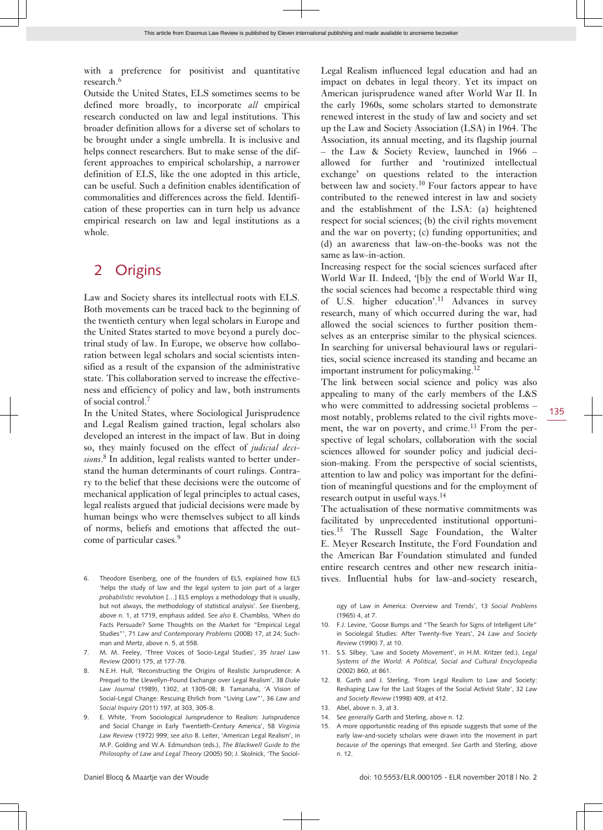with a preference for positivist and quantitative research.<sup>6</sup>

Outside the United States, ELS sometimes seems to be defined more broadly, to incorporate *all* empirical research conducted on law and legal institutions. This broader definition allows for a diverse set of scholars to be brought under a single umbrella. It is inclusive and helps connect researchers. But to make sense of the different approaches to empirical scholarship, a narrower definition of ELS, like the one adopted in this article, can be useful. Such a definition enables identification of commonalities and differences across the field. Identification of these properties can in turn help us advance empirical research on law and legal institutions as a whole.

### 2 Origins

Law and Society shares its intellectual roots with ELS. Both movements can be traced back to the beginning of the twentieth century when legal scholars in Europe and the United States started to move beyond a purely doctrinal study of law. In Europe, we observe how collaboration between legal scholars and social scientists intensified as a result of the expansion of the administrative state. This collaboration served to increase the effectiveness and efficiency of policy and law, both instruments of social control.<sup>7</sup>

In the United States, where Sociological Jurisprudence and Legal Realism gained traction, legal scholars also developed an interest in the impact of law. But in doing so, they mainly focused on the effect of *judicial decisions*. 8 In addition, legal realists wanted to better understand the human determinants of court rulings. Contrary to the belief that these decisions were the outcome of mechanical application of legal principles to actual cases, legal realists argued that judicial decisions were made by human beings who were themselves subject to all kinds of norms, beliefs and emotions that affected the outcome of particular cases.<sup>9</sup>

- 6. Theodore Eisenberg, one of the founders of ELS, explained how ELS 'helps the study of law and the legal system to join part of a larger *probabilistic* revolution […] ELS employs a methodology that is usually, but not always, the methodology of statistical analysis'. *See* Eisenberg, above n. 1, at 1719, emphasis added. *See also* E. Chambliss, 'When do Facts Persuade? Some Thoughts on the Market for "Empirical Legal Studies"', 71 *Law and Contemporary Problems* (2008) 17, at 24; Suchman and Mertz, above n. 5, at 558.
- 7. M. M. Feeley, 'Three Voices of Socio-Legal Studies', 35 *Israel Law Review* (2001) 175, at 177-78.
- 8. N.E.H. Hull, 'Reconstructing the Origins of Realistic Jurisprudence: A Prequel to the Llewellyn-Pound Exchange over Legal Realism', 38 *Duke Law Journal* (1989), 1302, at 1305-08; B. Tamanaha, 'A Vision of Social-Legal Change: Rescuing Ehrlich from "Living Law"', 36 *Law and Social Inquiry* (2011) 197, at 303, 305-8.
- 9. E. White, 'From Sociological Jurisprudence to Realism: Jurisprudence and Social Change in Early Twentieth-Century America', 58 *Virginia Law Review* (1972) 999; *see also* B. Leiter, 'American Legal Realism', in M.P. Golding and W.A. Edmundson (eds.), *The Blackwell Guide to the Philosophy of Law and Legal Theory* (2005) 50; J. Skolnick, 'The Sociol-

Legal Realism influenced legal education and had an impact on debates in legal theory. Yet its impact on American jurisprudence waned after World War II. In the early 1960s, some scholars started to demonstrate renewed interest in the study of law and society and set up the Law and Society Association (LSA) in 1964. The Association, its annual meeting, and its flagship journal – the Law & Society Review, launched in 1966 – allowed for further and 'routinized intellectual exchange' on questions related to the interaction between law and society.<sup>10</sup> Four factors appear to have contributed to the renewed interest in law and society and the establishment of the LSA: (a) heightened respect for social sciences; (b) the civil rights movement and the war on poverty; (c) funding opportunities; and (d) an awareness that law-on-the-books was not the same as law-in-action.

Increasing respect for the social sciences surfaced after World War II. Indeed, '[b]y the end of World War II, the social sciences had become a respectable third wing of U.S. higher education'.<sup>11</sup> Advances in survey research, many of which occurred during the war, had allowed the social sciences to further position themselves as an enterprise similar to the physical sciences. In searching for universal behavioural laws or regularities, social science increased its standing and became an important instrument for policymaking.<sup>12</sup>

The link between social science and policy was also appealing to many of the early members of the L&S who were committed to addressing societal problems – most notably, problems related to the civil rights movement, the war on poverty, and crime.<sup>13</sup> From the perspective of legal scholars, collaboration with the social sciences allowed for sounder policy and judicial decision-making. From the perspective of social scientists, attention to law and policy was important for the definition of meaningful questions and for the employment of research output in useful ways.<sup>14</sup>

The actualisation of these normative commitments was facilitated by unprecedented institutional opportunities.15 The Russell Sage Foundation, the Walter E. Meyer Research Institute, the Ford Foundation and the American Bar Foundation stimulated and funded entire research centres and other new research initiatives. Influential hubs for law-and-society research,

ogy of Law in America: Overview and Trends', 13 *Social Problems*  $(1965)$  4, at 7.

- 10. F.J. Levine, 'Goose Bumps and "The Search for Signs of Intelligent Life" in Sociolegal Studies: After Twenty-five Years', 24 *Law and Society Review* (1990) 7, at 10.
- 11. S.S. Silbey, 'Law and Society Movement', in H.M. Kritzer (ed.), *Legal Systems of the World: A Political, Social and Cultural Encyclopedia* (2002) 860, at 861.
- 12. B. Garth and J. Sterling, 'From Legal Realism to Law and Society: Reshaping Law for the Last Stages of the Social Activist State', 32 *Law and Society Review* (1998) 409, at 412.
- 13. Abel, above n. 3, at 3.
- 14. S*ee generally* Garth and Sterling, above n. 12.
- 15. A more opportunistic reading of this episode suggests that some of the early law-and-society scholars were drawn into the movement in part *because of* the openings that emerged. *See* Garth and Sterling, above n. 12.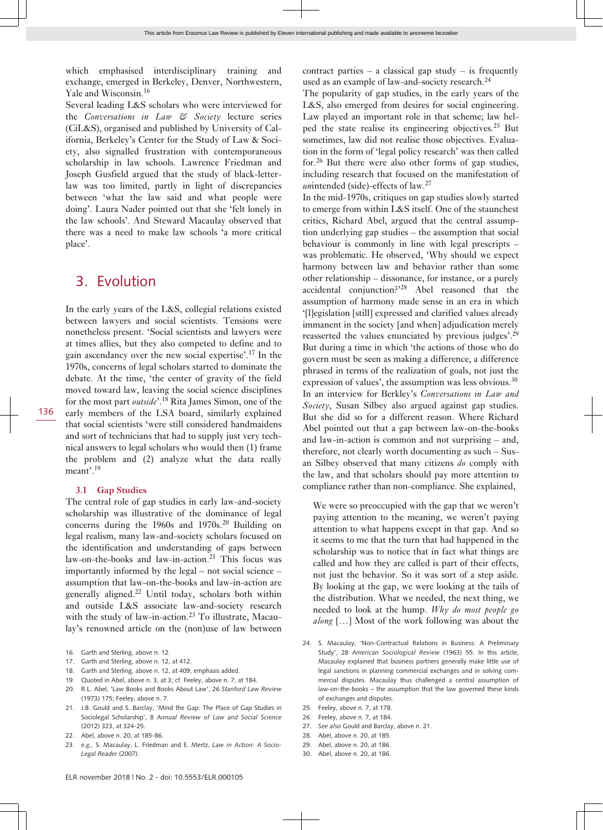which emphasised interdisciplinary training and exchange, emerged in Berkeley, Denver, Northwestern, Yale and Wisconsin.<sup>16</sup>

Several leading L&S scholars who were interviewed for the *Conversations in Law & Society* lecture series (CiL&S), organised and published by University of California, Berkeley's Center for the Study of Law & Society, also signalled frustration with contemporaneous scholarship in law schools. Lawrence Friedman and Joseph Gusfield argued that the study of black-letterlaw was too limited, partly in light of discrepancies between 'what the law said and what people were doing'. Laura Nader pointed out that she 'felt lonely in the law schools'. And Steward Macaulay observed that there was a need to make law schools 'a more critical place'.

### 3. Evolution

In the early years of the L&S, collegial relations existed between lawyers and social scientists. Tensions were nonetheless present. 'Social scientists and lawyers were at times allies, but they also competed to define and to gain ascendancy over the new social expertise'.17 In the 1970s, concerns of legal scholars started to dominate the debate. At the time, 'the center of gravity of the field moved toward law, leaving the social science disciplines for the most part *outside*'.18 Rita James Simon, one of the early members of the LSA board, similarly explained that social scientists 'were still considered handmaidens and sort of technicians that had to supply just very technical answers to legal scholars who would then (1) frame the problem and (2) analyze what the data really meant'.<sup>19</sup>

#### **3.1 Gap Studies**

The central role of gap studies in early law-and-society scholarship was illustrative of the dominance of legal concerns during the 1960s and 1970s.<sup>20</sup> Building on legal realism, many law-and-society scholars focused on the identification and understanding of gaps between law-on-the-books and law-in-action.<sup>21</sup> This focus was importantly informed by the legal – not social science – assumption that law-on-the-books and law-in-action are generally aligned.22 Until today, scholars both within and outside L&S associate law-and-society research with the study of law-in-action.<sup>23</sup> To illustrate, Macaulay's renowned article on the (non)use of law between

- 16. Garth and Sterling, above n. 12.
- 17. Garth and Sterling, above n. 12, at 412.
- 18. Garth and Sterling, above n. 12, at 409, emphasis added.
- 19. Quoted in Abel, above n. 3, at 3; cf. Feeley, above n. 7, at 184.
- 20. R.L. Abel, 'Law Books and Books About Law', 26 *Stanford Law Review* (1973) 175; Feeley, above n. 7.
- 21. J.B. Gould and S. Barclay, 'Mind the Gap: The Place of Gap Studies in Sociolegal Scholarship', 8 *Annual Review of Law and Social Science* (2012) 323, at 324-25.
- 22. Abel, above n. 20, at 185-86.
- 23. *e.g.,* S. Macaulay, L. Friedman and E. Mertz, *Law in Action: A Socio-Legal Reader* (2007).

contract parties – a classical gap study – is frequently used as an example of law-and-society research.<sup>24</sup>

The popularity of gap studies, in the early years of the L&S, also emerged from desires for social engineering. Law played an important role in that scheme; law helped the state realise its engineering objectives.<sup>25</sup> But sometimes, law did not realise those objectives. Evaluation in the form of 'legal policy research' was then called for.<sup>26</sup> But there were also other forms of gap studies, including research that focused on the manifestation of *un*intended (side)-effects of law.<sup>27</sup>

In the mid-1970s, critiques on gap studies slowly started to emerge from within L&S itself. One of the staunchest critics, Richard Abel, argued that the central assumption underlying gap studies – the assumption that social behaviour is commonly in line with legal prescripts – was problematic. He observed, 'Why should we expect harmony between law and behavior rather than some other relationship – dissonance, for instance, or a purely accidental conjunction?'<sup>28</sup> Abel reasoned that the assumption of harmony made sense in an era in which '[l]egislation [still] expressed and clarified values already immanent in the society [and when] adjudication merely reasserted the values enunciated by previous judges'.<sup>29</sup> But during a time in which 'the actions of those who do govern must be seen as making a difference, a difference phrased in terms of the realization of goals, not just the expression of values', the assumption was less obvious.<sup>30</sup> In an interview for Berkley's *Conversations in Law and Society*, Susan Silbey also argued against gap studies. But she did so for a different reason. Where Richard Abel pointed out that a gap between law-on-the-books and law-in-action is common and not surprising – and, therefore, not clearly worth documenting as such – Susan Silbey observed that many citizens *do* comply with the law, and that scholars should pay more attention to compliance rather than non-compliance. She explained,

We were so preoccupied with the gap that we weren't paying attention to the meaning, we weren't paying attention to what happens except in that gap. And so it seems to me that the turn that had happened in the scholarship was to notice that in fact what things are called and how they are called is part of their effects, not just the behavior. So it was sort of a step aside. By looking at the gap, we were looking at the tails of the distribution. What we needed, the next thing, we needed to look at the hump. *Why do most people go along* […] Most of the work following was about the

- 24. S. Macaulay, 'Non-Contractual Relations in Business: A Preliminary Study', 28 *American Sociological Review* (1963) 55. In this article, Macaulay explained that business partners generally make little use of legal sanctions in planning commercial exchanges and in solving commercial disputes. Macaulay thus challenged a central assumption of law-on-the-books – the assumption that the law governed these kinds of exchanges and disputes.
- 25. Feeley, above n. 7, at 178.
- 26. Feeley, above n. 7, at 184.
- 27. *See also* Gould and Barclay, above n. 21.
- 28. Abel, above n. 20, at 185.
- 29. Abel, above n. 20, at 186.
- 30. Abel, above n. 20, at 186.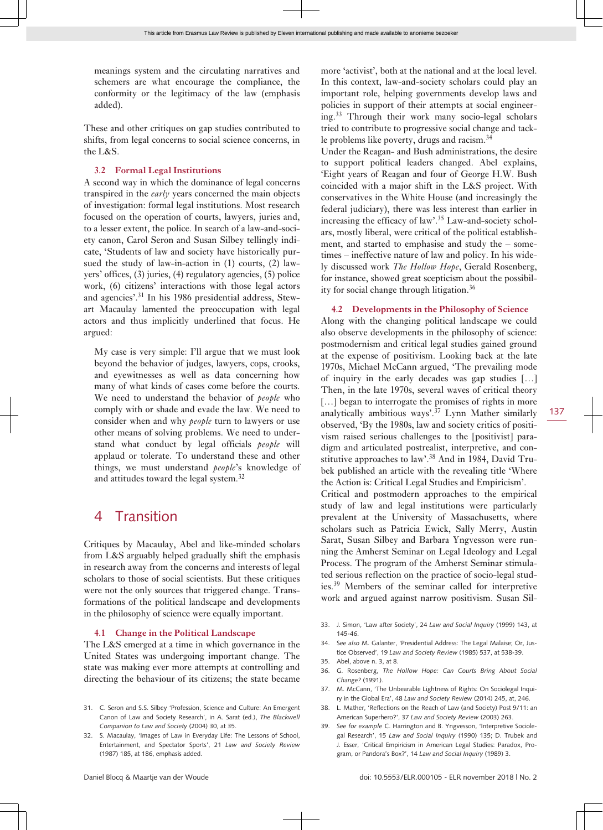meanings system and the circulating narratives and schemers are what encourage the compliance, the conformity or the legitimacy of the law (emphasis added).

These and other critiques on gap studies contributed to shifts, from legal concerns to social science concerns, in the L&S.

#### **3.2 Formal Legal Institutions**

A second way in which the dominance of legal concerns transpired in the *early* years concerned the main objects of investigation: formal legal institutions. Most research focused on the operation of courts, lawyers, juries and, to a lesser extent, the police. In search of a law-and-society canon, Carol Seron and Susan Silbey tellingly indicate, 'Students of law and society have historically pursued the study of law-in-action in (1) courts, (2) lawyers' offices, (3) juries, (4) regulatory agencies, (5) police work, (6) citizens' interactions with those legal actors and agencies'.31 In his 1986 presidential address, Stewart Macaulay lamented the preoccupation with legal actors and thus implicitly underlined that focus. He argued:

My case is very simple: I'll argue that we must look beyond the behavior of judges, lawyers, cops, crooks, and eyewitnesses as well as data concerning how many of what kinds of cases come before the courts. We need to understand the behavior of *people* who comply with or shade and evade the law. We need to consider when and why *people* turn to lawyers or use other means of solving problems. We need to understand what conduct by legal officials *people* will applaud or tolerate. To understand these and other things, we must understand *people*'s knowledge of and attitudes toward the legal system.<sup>32</sup>

### 4 Transition

Critiques by Macaulay, Abel and like-minded scholars from L&S arguably helped gradually shift the emphasis in research away from the concerns and interests of legal scholars to those of social scientists. But these critiques were not the only sources that triggered change. Transformations of the political landscape and developments in the philosophy of science were equally important.

#### **4.1 Change in the Political Landscape**

The L&S emerged at a time in which governance in the United States was undergoing important change. The state was making ever more attempts at controlling and directing the behaviour of its citizens; the state became

- 31. C. Seron and S.S. Silbey 'Profession, Science and Culture: An Emergent Canon of Law and Society Research', in A. Sarat (ed.), *The Blackwell Companion to Law and Society* (2004) 30, at 35.
- 32. S. Macaulay, 'Images of Law in Everyday Life: The Lessons of School, Entertainment, and Spectator Sports', 21 *Law and Society Review* (1987) 185, at 186, emphasis added.

more 'activist', both at the national and at the local level. In this context, law-and-society scholars could play an important role, helping governments develop laws and policies in support of their attempts at social engineering.<sup>33</sup> Through their work many socio-legal scholars tried to contribute to progressive social change and tackle problems like poverty, drugs and racism.<sup>34</sup>

Under the Reagan- and Bush administrations, the desire to support political leaders changed. Abel explains, 'Eight years of Reagan and four of George H.W. Bush coincided with a major shift in the L&S project. With conservatives in the White House (and increasingly the federal judiciary), there was less interest than earlier in increasing the efficacy of law'.35 Law-and-society scholars, mostly liberal, were critical of the political establishment, and started to emphasise and study the – sometimes – ineffective nature of law and policy. In his widely discussed work *The Hollow Hope*, Gerald Rosenberg, for instance, showed great scepticism about the possibility for social change through litigation.<sup>36</sup>

#### **4.2 Developments in the Philosophy of Science**

Along with the changing political landscape we could also observe developments in the philosophy of science: postmodernism and critical legal studies gained ground at the expense of positivism. Looking back at the late 1970s, Michael McCann argued, 'The prevailing mode of inquiry in the early decades was gap studies […] Then, in the late 1970s, several waves of critical theory [...] began to interrogate the promises of rights in more analytically ambitious ways'. $37$  Lynn Mather similarly observed, 'By the 1980s, law and society critics of positivism raised serious challenges to the [positivist] paradigm and articulated postrealist, interpretive, and constitutive approaches to law'.38 And in 1984, David Trubek published an article with the revealing title 'Where the Action is: Critical Legal Studies and Empiricism'.

Critical and postmodern approaches to the empirical study of law and legal institutions were particularly prevalent at the University of Massachusetts, where scholars such as Patricia Ewick, Sally Merry, Austin Sarat, Susan Silbey and Barbara Yngvesson were running the Amherst Seminar on Legal Ideology and Legal Process. The program of the Amherst Seminar stimulated serious reflection on the practice of socio-legal studies.39 Members of the seminar called for interpretive work and argued against narrow positivism. Susan Sil-

- 33. J. Simon, 'Law after Society', 24 *Law and Social Inquiry* (1999) 143, at 145-46.
- 34. S*ee also* M. Galanter, 'Presidential Address: The Legal Malaise; Or, Justice Observed', 19 *Law and Society Review* (1985) 537, at 538-39.
- 35. Abel, above n. 3, at 8.
- 36. G. Rosenberg, *The Hollow Hope: Can Courts Bring About Social Change?* (1991).
- 37. M. McCann, 'The Unbearable Lightness of Rights: On Sociolegal Inquiry in the Global Era', 48 *Law and Society Review* (2014) 245, at, 246.
- 38. L. Mather, 'Reflections on the Reach of Law (and Society) Post 9/11: an American Superhero?', 37 *Law and Society Review* (2003) 263.
- 39. *See for example* C. Harrington and B. Yngvesson, 'Interpretive Sociolegal Research', 15 *Law and Social Inquiry* (1990) 135; D. Trubek and J. Esser, 'Critical Empiricism in American Legal Studies: Paradox, Program, or Pandora's Box?', 14 *Law and Social Inquiry* (1989) 3.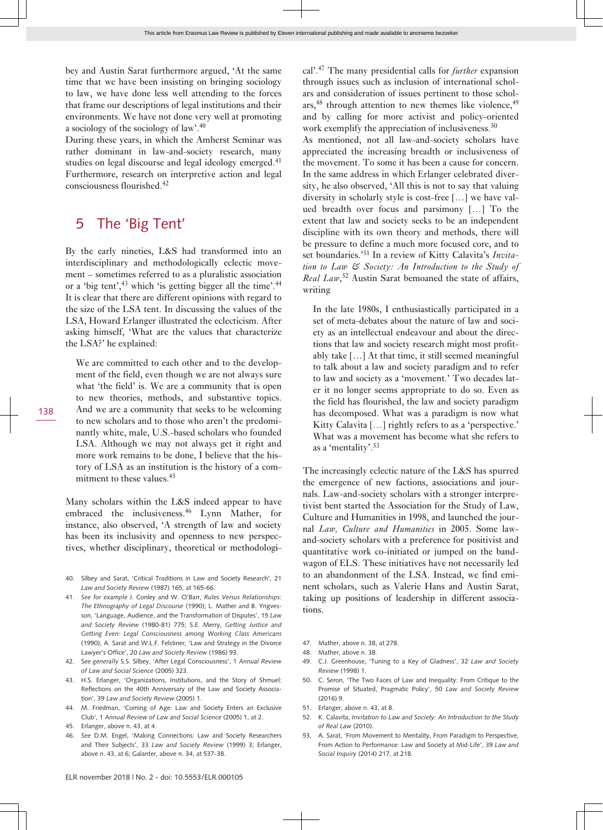bey and Austin Sarat furthermore argued, 'At the same time that we have been insisting on bringing sociology to law, we have done less well attending to the forces that frame our descriptions of legal institutions and their environments. We have not done very well at promoting a sociology of the sociology of law'.<sup>40</sup>

During these years, in which the Amherst Seminar was rather dominant in law-and-society research, many studies on legal discourse and legal ideology emerged.<sup>41</sup> Furthermore, research on interpretive action and legal consciousness flourished.<sup>42</sup>

## 5 The 'Big Tent'

By the early nineties, L&S had transformed into an interdisciplinary and methodologically eclectic movement – sometimes referred to as a pluralistic association or a 'big tent',<sup>43</sup> which 'is getting bigger all the time'.<sup>44</sup> It is clear that there are different opinions with regard to the size of the LSA tent. In discussing the values of the LSA, Howard Erlanger illustrated the eclecticism. After asking himself, 'What are the values that characterize the LSA?' he explained:

We are committed to each other and to the development of the field, even though we are not always sure what 'the field' is. We are a community that is open to new theories, methods, and substantive topics. And we are a community that seeks to be welcoming to new scholars and to those who aren't the predominantly white, male, U.S.-based scholars who founded LSA. Although we may not always get it right and more work remains to be done, I believe that the history of LSA as an institution is the history of a commitment to these values.<sup>45</sup>

Many scholars within the L&S indeed appear to have embraced the inclusiveness.<sup>46</sup> Lynn Mather, for instance, also observed, 'A strength of law and society has been its inclusivity and openness to new perspectives, whether disciplinary, theoretical or methodologi-

- 40. Silbey and Sarat, 'Critical Traditions in Law and Society Research', 21 *Law and Society Review* (1987) 165, at 165-66.
- 41. *See for example* J. Conley and W. O'Barr, *Rules Versus Relationships: The Ethnography of Legal Discourse* (1990); L. Mather and B. Yngvesson, 'Language, Audience, and the Transformation of Disputes', 15 *Law and Society Review* (1980-81) 775; S.E. Merry, *Getting Justice and Getting Even: Legal Consciousness among Working Class Americans* (1990); A. Sarat and W.L.F. Felstiner, 'Law and Strategy in the Divorce Lawyer's Office', 20 *Law and Society Review* (1986) 93.
- 42. S*ee generally* S.S. Silbey, 'After Legal Consciousness', 1 *Annual Review of Law and Social Science* (2005) 323.
- 43. H.S. Erlanger, 'Organizations, Institutions, and the Story of Shmuel: Reflections on the 40th Anniversary of the Law and Society Association', 39 *Law and Society Review* (2005) 1.
- 44. M. Friedman, 'Coming of Age: Law and Society Enters an Exclusive Club', 1 *Annual Review of Law and Social Science* (2005) 1, at 2.
- 45. Erlanger, above n. 43, at 4.
- 46. *See* D.M. Engel, 'Making Connections: Law and Society Researchers and Their Subjects', 33 *Law and Society Review* (1999) 3; Erlanger, above n. 43, at 6; Galanter, above n. 34, at 537-38.

cal'.<sup>47</sup> The many presidential calls for *further* expansion through issues such as inclusion of international scholars and consideration of issues pertinent to those schol $ars, <sup>48</sup>$  through attention to new themes like violence,  $<sup>49</sup>$ </sup> and by calling for more activist and policy-oriented work exemplify the appreciation of inclusiveness.<sup>50</sup> As mentioned, not all law-and-society scholars have appreciated the increasing breadth or inclusiveness of the movement. To some it has been a cause for concern. In the same address in which Erlanger celebrated diversity, he also observed, 'All this is not to say that valuing diversity in scholarly style is cost-free […] we have valued breadth over focus and parsimony […] To the extent that law and society seeks to be an independent discipline with its own theory and methods, there will be pressure to define a much more focused core, and to set boundaries.'51 In a review of Kitty Calavita's *Invitation to Law & Society: An Introduction to the Study of Real Law*, <sup>52</sup> Austin Sarat bemoaned the state of affairs, writing

In the late 1980s, I enthusiastically participated in a set of meta-debates about the nature of law and society as an intellectual endeavour and about the directions that law and society research might most profitably take […] At that time, it still seemed meaningful to talk about a law and society paradigm and to refer to law and society as a 'movement.' Two decades later it no longer seems appropriate to do so. Even as the field has flourished, the law and society paradigm has decomposed. What was a paradigm is now what Kitty Calavita [...] rightly refers to as a 'perspective.' What was a movement has become what she refers to as a 'mentality'.<sup>53</sup>

The increasingly eclectic nature of the L&S has spurred the emergence of new factions, associations and journals. Law-and-society scholars with a stronger interpretivist bent started the Association for the Study of Law, Culture and Humanities in 1998, and launched the journal *Law, Culture and Humanities* in 2005. Some lawand-society scholars with a preference for positivist and quantitative work co-initiated or jumped on the bandwagon of ELS. These initiatives have not necessarily led to an abandonment of the LSA. Instead, we find eminent scholars, such as Valerie Hans and Austin Sarat, taking up positions of leadership in different associations.

- 47. Mather, above n. 38, at 278.
- 48. Mather, above n. 38.
- 49. C.J. Greenhouse, 'Tuning to a Key of Gladness', 32 *Law and Society Review* (1998) 1.
- 50. C. Seron, 'The Two Faces of Law and Inequality: From Critique to the Promise of Situated, Pragmatic Policy', 50 *Law and Society Review*  $(2016)9$
- 51. Erlanger, above n. 43, at 8.
- 52. K. Calavita, *Invitation to Law and Society: An Introduction to the Study of Real Law* (2010).
- 53. A. Sarat, 'From Movement to Mentality, From Paradigm to Perspective, From Action to Performance: Law and Society at Mid-Life', 39 *Law and Social Inquiry* (2014) 217, at 218.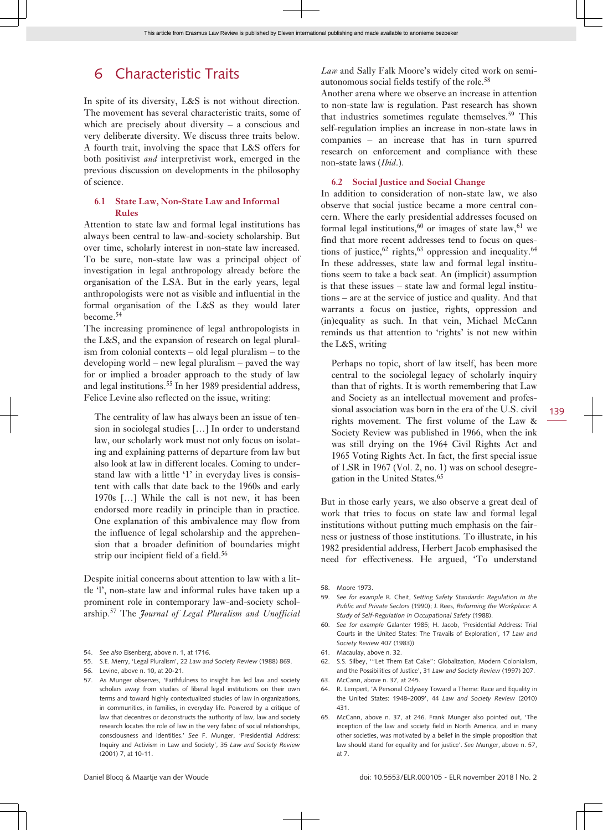## 6 Characteristic Traits

In spite of its diversity, L&S is not without direction. The movement has several characteristic traits, some of which are precisely about diversity – a conscious and very deliberate diversity. We discuss three traits below. A fourth trait, involving the space that L&S offers for both positivist *and* interpretivist work, emerged in the previous discussion on developments in the philosophy of science.

#### **6.1 State Law, Non-State Law and Informal Rules**

Attention to state law and formal legal institutions has always been central to law-and-society scholarship. But over time, scholarly interest in non-state law increased. To be sure, non-state law was a principal object of investigation in legal anthropology already before the organisation of the LSA. But in the early years, legal anthropologists were not as visible and influential in the formal organisation of the L&S as they would later become.<sup>54</sup>

The increasing prominence of legal anthropologists in the L&S, and the expansion of research on legal pluralism from colonial contexts – old legal pluralism – to the developing world – new legal pluralism – paved the way for or implied a broader approach to the study of law and legal institutions.<sup>55</sup> In her 1989 presidential address, Felice Levine also reflected on the issue, writing:

The centrality of law has always been an issue of tension in sociolegal studies […] In order to understand law, our scholarly work must not only focus on isolating and explaining patterns of departure from law but also look at law in different locales. Coming to understand law with a little '1' in everyday lives is consistent with calls that date back to the 1960s and early 1970s […] While the call is not new, it has been endorsed more readily in principle than in practice. One explanation of this ambivalence may flow from the influence of legal scholarship and the apprehension that a broader definition of boundaries might strip our incipient field of a field.<sup>56</sup>

Despite initial concerns about attention to law with a little 'l', non-state law and informal rules have taken up a prominent role in contemporary law-and-society scholarship.57 The *Journal of Legal Pluralism and Unofficial*

- 54. *See also* Eisenberg, above n. 1, at 1716.
- 55. S.E. Merry, 'Legal Pluralism', 22 *Law and Society Review* (1988) 869.
- 56. Levine, above n. 10, at 20-21.

*Law* and Sally Falk Moore's widely cited work on semiautonomous social fields testify of the role.<sup>58</sup>

Another arena where we observe an increase in attention to non-state law is regulation. Past research has shown that industries sometimes regulate themselves.<sup>59</sup> This self-regulation implies an increase in non-state laws in companies – an increase that has in turn spurred research on enforcement and compliance with these non-state laws (*Ibid*.).

#### **6.2 Social Justice and Social Change**

In addition to consideration of non-state law, we also observe that social justice became a more central concern. Where the early presidential addresses focused on formal legal institutions, $60$  or images of state law, $61$  we find that more recent addresses tend to focus on questions of justice,  $62$  rights,  $63$  oppression and inequality.  $64$ In these addresses, state law and formal legal institutions seem to take a back seat. An (implicit) assumption is that these issues – state law and formal legal institutions – are at the service of justice and quality. And that warrants a focus on justice, rights, oppression and (in)equality as such. In that vein, Michael McCann reminds us that attention to 'rights' is not new within the L&S, writing

Perhaps no topic, short of law itself, has been more central to the sociolegal legacy of scholarly inquiry than that of rights. It is worth remembering that Law and Society as an intellectual movement and professional association was born in the era of the U.S. civil rights movement. The first volume of the Law & Society Review was published in 1966, when the ink was still drying on the 1964 Civil Rights Act and 1965 Voting Rights Act. In fact, the first special issue of LSR in 1967 (Vol. 2, no. 1) was on school desegregation in the United States.<sup>65</sup>

But in those early years, we also observe a great deal of work that tries to focus on state law and formal legal institutions without putting much emphasis on the fairness or justness of those institutions. To illustrate, in his 1982 presidential address, Herbert Jacob emphasised the need for effectiveness. He argued, 'To understand

- 59. *See for example* R. Cheit, *Setting Safety Standards: Regulation in the Public and Private Sectors* (1990); J. Rees, *Reforming the Workplace: A Study of Self-Regulation in Occupational Safety* (1988).
- 60. *See for example* Galanter 1985; H. Jacob, 'Presidential Address: Trial Courts in the United States: The Travails of Exploration', 17 *Law and Society Review* 407 (1983))
- 61. Macaulay, above n. 32.
- 62. S.S. Silbey, '"Let Them Eat Cake": Globalization, Modern Colonialism, and the Possibilities of Justice', 31 *Law and Society Review* (1997) 207.
- 63. McCann, above n. 37, at 245.
- 64. R. Lempert, 'A Personal Odyssey Toward a Theme: Race and Equality in the United States: 1948–2009', 44 *Law and Society Review* (2010) 431.
- 65. McCann, above n. 37, at 246. Frank Munger also pointed out, 'The inception of the law and society field in North America, and in many other societies, was motivated by a belief in the simple proposition that law should stand for equality and for justice'. *See* Munger, above n. 57, at 7.

<sup>57.</sup> As Munger observes, 'Faithfulness to insight has led law and society scholars away from studies of liberal legal institutions on their own terms and toward highly contextualized studies of law in organizations, in communities, in families, in everyday life. Powered by a critique of law that decentres or deconstructs the authority of law, law and society research locates the role of law in the very fabric of social relationships, consciousness and identities.' *See* F. Munger, 'Presidential Address: Inquiry and Activism in Law and Society', 35 *Law and Society Review* (2001) 7, at 10-11.

<sup>58.</sup> Moore 1973.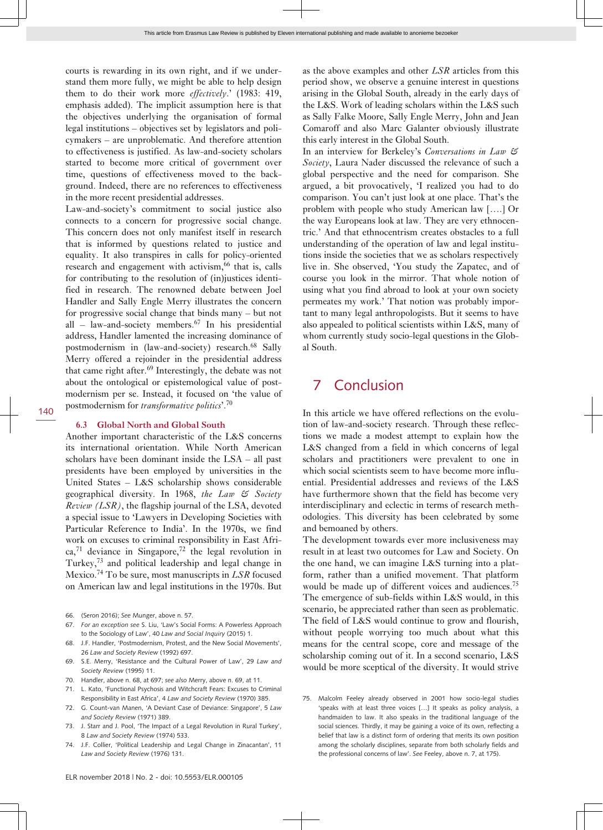courts is rewarding in its own right, and if we understand them more fully, we might be able to help design them to do their work more *effectively*.' (1983: 419, emphasis added). The implicit assumption here is that the objectives underlying the organisation of formal legal institutions – objectives set by legislators and policymakers – are unproblematic. And therefore attention to effectiveness is justified. As law-and-society scholars started to become more critical of government over time, questions of effectiveness moved to the background. Indeed, there are no references to effectiveness in the more recent presidential addresses.

Law-and-society's commitment to social justice also connects to a concern for progressive social change. This concern does not only manifest itself in research that is informed by questions related to justice and equality. It also transpires in calls for policy-oriented research and engagement with activism,<sup>66</sup> that is, calls for contributing to the resolution of (in)justices identified in research. The renowned debate between Joel Handler and Sally Engle Merry illustrates the concern for progressive social change that binds many – but not all – law-and-society members. $67$  In his presidential address, Handler lamented the increasing dominance of postmodernism in (law-and-society) research.<sup>68</sup> Sally Merry offered a rejoinder in the presidential address that came right after.69 Interestingly, the debate was not about the ontological or epistemological value of postmodernism per se. Instead, it focused on 'the value of postmodernism for *transformative politics*'.<sup>70</sup>

#### **6.3 Global North and Global South**

Another important characteristic of the L&S concerns its international orientation. While North American scholars have been dominant inside the LSA – all past presidents have been employed by universities in the United States – L&S scholarship shows considerable geographical diversity. In 1968, *the Law & Society Review (LSR)*, the flagship journal of the LSA, devoted a special issue to 'Lawyers in Developing Societies with Particular Reference to India'. In the 1970s, we find work on excuses to criminal responsibility in East Afri $ca<sub>1</sub><sup>71</sup>$  deviance in Singapore,<sup>72</sup> the legal revolution in Turkey,<sup>73</sup> and political leadership and legal change in Mexico.74 To be sure, most manuscripts in *LSR* focused on American law and legal institutions in the 1970s. But

- 66. (Seron 2016); *See* Munger, above n. 57.
- 67. *For an exception see* S. Liu, 'Law's Social Forms: A Powerless Approach to the Sociology of Law', 40 *Law and Social Inquiry* (2015) 1.
- J.F. Handler, 'Postmodernism, Protest, and the New Social Movements', 26 *Law and Society Review* (1992) 697.
- 69. S.E. Merry, 'Resistance and the Cultural Power of Law', 29 *Law and Society Review* (1995) 11.
- 70. Handler, above n. 68, at 697; *see also* Merry, above n. 69, at 11.
- 71. L. Kato, 'Functional Psychosis and Witchcraft Fears: Excuses to Criminal Responsibility in East Africa', 4 *Law and Society Review* (1970) 385.
- 72. G. Count-van Manen, 'A Deviant Case of Deviance: Singapore', 5 *Law and Society Review* (1971) 389.
- 73. J. Starr and J. Pool, 'The Impact of a Legal Revolution in Rural Turkey', 8 *Law and Society Review* (1974) 533.
- 74. J.F. Collier, 'Political Leadership and Legal Change in Zinacantan', 11 *Law and Society Review* (1976) 131.

as the above examples and other *LSR* articles from this period show, we observe a genuine interest in questions arising in the Global South, already in the early days of the L&S. Work of leading scholars within the L&S such as Sally Falke Moore, Sally Engle Merry, John and Jean Comaroff and also Marc Galanter obviously illustrate this early interest in the Global South.

In an interview for Berkeley's *Conversations in Law & Society*, Laura Nader discussed the relevance of such a global perspective and the need for comparison. She argued, a bit provocatively, 'I realized you had to do comparison. You can't just look at one place. That's the problem with people who study American law [….] Or the way Europeans look at law. They are very ethnocentric.' And that ethnocentrism creates obstacles to a full understanding of the operation of law and legal institutions inside the societies that we as scholars respectively live in. She observed, 'You study the Zapatec, and of course you look in the mirror. That whole notion of using what you find abroad to look at your own society permeates my work.' That notion was probably important to many legal anthropologists. But it seems to have also appealed to political scientists within L&S, many of whom currently study socio-legal questions in the Global South.

### 7 Conclusion

In this article we have offered reflections on the evolution of law-and-society research. Through these reflections we made a modest attempt to explain how the L&S changed from a field in which concerns of legal scholars and practitioners were prevalent to one in which social scientists seem to have become more influential. Presidential addresses and reviews of the L&S have furthermore shown that the field has become very interdisciplinary and eclectic in terms of research methodologies. This diversity has been celebrated by some and bemoaned by others.

The development towards ever more inclusiveness may result in at least two outcomes for Law and Society. On the one hand, we can imagine L&S turning into a platform, rather than a unified movement. That platform would be made up of different voices and audiences.<sup>75</sup> The emergence of sub-fields within L&S would, in this scenario, be appreciated rather than seen as problematic. The field of L&S would continue to grow and flourish, without people worrying too much about what this means for the central scope, core and message of the scholarship coming out of it. In a second scenario, L&S would be more sceptical of the diversity. It would strive

75. Malcolm Feeley already observed in 2001 how socio-legal studies 'speaks with at least three voices […] It speaks as policy analysis, a handmaiden to law. It also speaks in the traditional language of the social sciences. Thirdly, it may be gaining a voice of its own, reflecting a belief that law is a distinct form of ordering that merits its own position among the scholarly disciplines, separate from both scholarly fields and the professional concerns of law'. *See* Feeley, above n. 7, at 175).